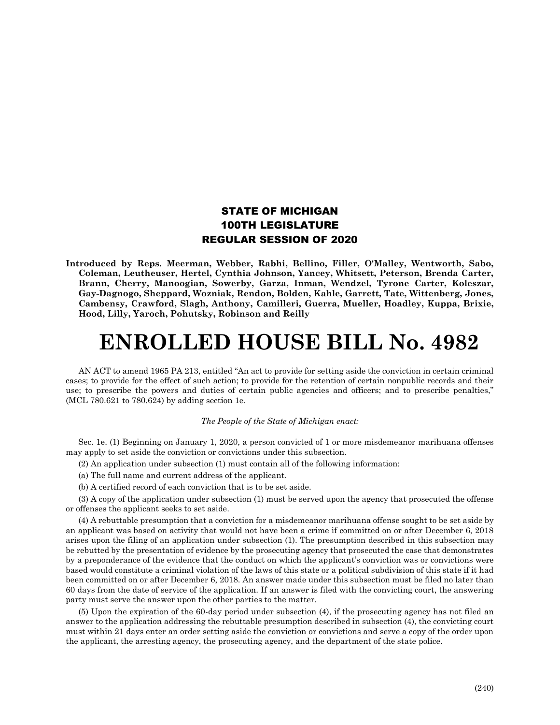## STATE OF MICHIGAN 100TH LEGISLATURE REGULAR SESSION OF 2020

**Introduced by Reps. Meerman, Webber, Rabhi, Bellino, Filler, O'Malley, Wentworth, Sabo, Coleman, Leutheuser, Hertel, Cynthia Johnson, Yancey, Whitsett, Peterson, Brenda Carter, Brann, Cherry, Manoogian, Sowerby, Garza, Inman, Wendzel, Tyrone Carter, Koleszar, Gay-Dagnogo, Sheppard, Wozniak, Rendon, Bolden, Kahle, Garrett, Tate, Wittenberg, Jones, Cambensy, Crawford, Slagh, Anthony, Camilleri, Guerra, Mueller, Hoadley, Kuppa, Brixie, Hood, Lilly, Yaroch, Pohutsky, Robinson and Reilly**

## **ENROLLED HOUSE BILL No. 4982**

AN ACT to amend 1965 PA 213, entitled "An act to provide for setting aside the conviction in certain criminal cases; to provide for the effect of such action; to provide for the retention of certain nonpublic records and their use; to prescribe the powers and duties of certain public agencies and officers; and to prescribe penalties," (MCL 780.621 to 780.624) by adding section 1e.

## *The People of the State of Michigan enact:*

Sec. 1e. (1) Beginning on January 1, 2020, a person convicted of 1 or more misdemeanor marihuana offenses may apply to set aside the conviction or convictions under this subsection.

(2) An application under subsection (1) must contain all of the following information:

(a) The full name and current address of the applicant.

(b) A certified record of each conviction that is to be set aside.

(3) A copy of the application under subsection (1) must be served upon the agency that prosecuted the offense or offenses the applicant seeks to set aside.

(4) A rebuttable presumption that a conviction for a misdemeanor marihuana offense sought to be set aside by an applicant was based on activity that would not have been a crime if committed on or after December 6, 2018 arises upon the filing of an application under subsection (1). The presumption described in this subsection may be rebutted by the presentation of evidence by the prosecuting agency that prosecuted the case that demonstrates by a preponderance of the evidence that the conduct on which the applicant's conviction was or convictions were based would constitute a criminal violation of the laws of this state or a political subdivision of this state if it had been committed on or after December 6, 2018. An answer made under this subsection must be filed no later than 60 days from the date of service of the application. If an answer is filed with the convicting court, the answering party must serve the answer upon the other parties to the matter.

(5) Upon the expiration of the 60-day period under subsection (4), if the prosecuting agency has not filed an answer to the application addressing the rebuttable presumption described in subsection (4), the convicting court must within 21 days enter an order setting aside the conviction or convictions and serve a copy of the order upon the applicant, the arresting agency, the prosecuting agency, and the department of the state police.